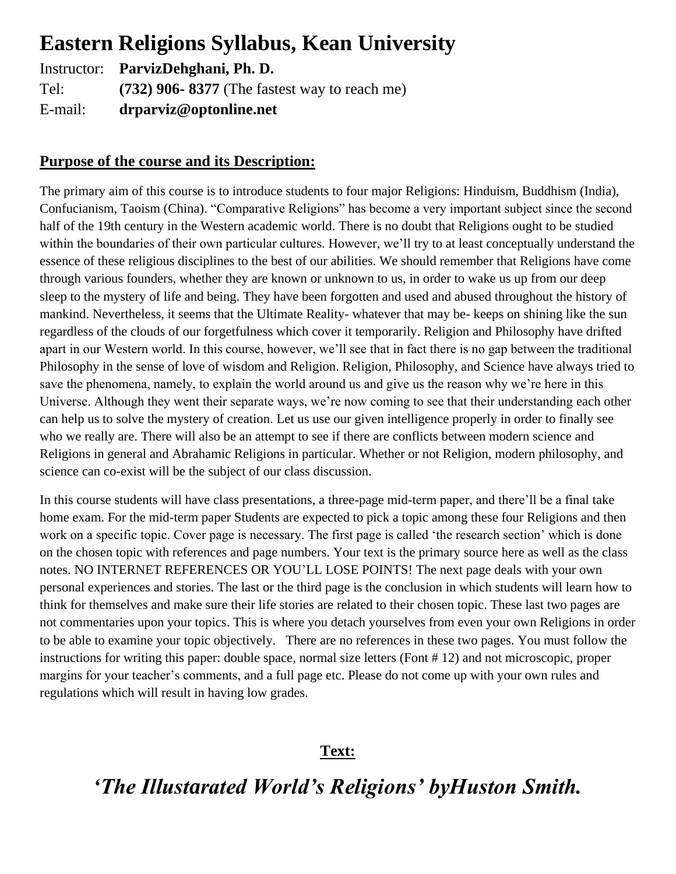# **Eastern Religions Syllabus, Kean University**

Instructor: **ParvizDehghani, Ph. D.** Tel: **(732) 906- 8377** (The fastest way to reach me) E-mail: **drparviz@optonline.net**

## **Purpose of the course and its Description:**

The primary aim of this course is to introduce students to four major Religions: Hinduism, Buddhism (India), Confucianism, Taoism (China). "Comparative Religions" has become a very important subject since the second half of the 19th century in the Western academic world. There is no doubt that Religions ought to be studied within the boundaries of their own particular cultures. However, we'll try to at least conceptually understand the essence of these religious disciplines to the best of our abilities. We should remember that Religions have come through various founders, whether they are known or unknown to us, in order to wake us up from our deep sleep to the mystery of life and being. They have been forgotten and used and abused throughout the history of mankind. Nevertheless, it seems that the Ultimate Reality- whatever that may be- keeps on shining like the sun regardless of the clouds of our forgetfulness which cover it temporarily. Religion and Philosophy have drifted apart in our Western world. In this course, however, we'll see that in fact there is no gap between the traditional Philosophy in the sense of love of wisdom and Religion. Religion, Philosophy, and Science have always tried to save the phenomena, namely, to explain the world around us and give us the reason why we're here in this Universe. Although they went their separate ways, we're now coming to see that their understanding each other can help us to solve the mystery of creation. Let us use our given intelligence properly in order to finally see who we really are. There will also be an attempt to see if there are conflicts between modern science and Religions in general and Abrahamic Religions in particular. Whether or not Religion, modern philosophy, and science can co-exist will be the subject of our class discussion.

In this course students will have class presentations, a three-page mid-term paper, and there'll be a final take home exam. For the mid-term paper Students are expected to pick a topic among these four Religions and then work on a specific topic. Cover page is necessary. The first page is called 'the research section' which is done on the chosen topic with references and page numbers. Your text is the primary source here as well as the class notes. NO INTERNET REFERENCES OR YOU'LL LOSE POINTS! The next page deals with your own personal experiences and stories. The last or the third page is the conclusion in which students will learn how to think for themselves and make sure their life stories are related to their chosen topic. These last two pages are not commentaries upon your topics. This is where you detach yourselves from even your own Religions in order to be able to examine your topic objectively. There are no references in these two pages. You must follow the instructions for writing this paper: double space, normal size letters (Font # 12) and not microscopic, proper margins for your teacher's comments, and a full page etc. Please do not come up with your own rules and regulations which will result in having low grades.

### **Text:**

# *'The Illustarated World's Religions' byHuston Smith.*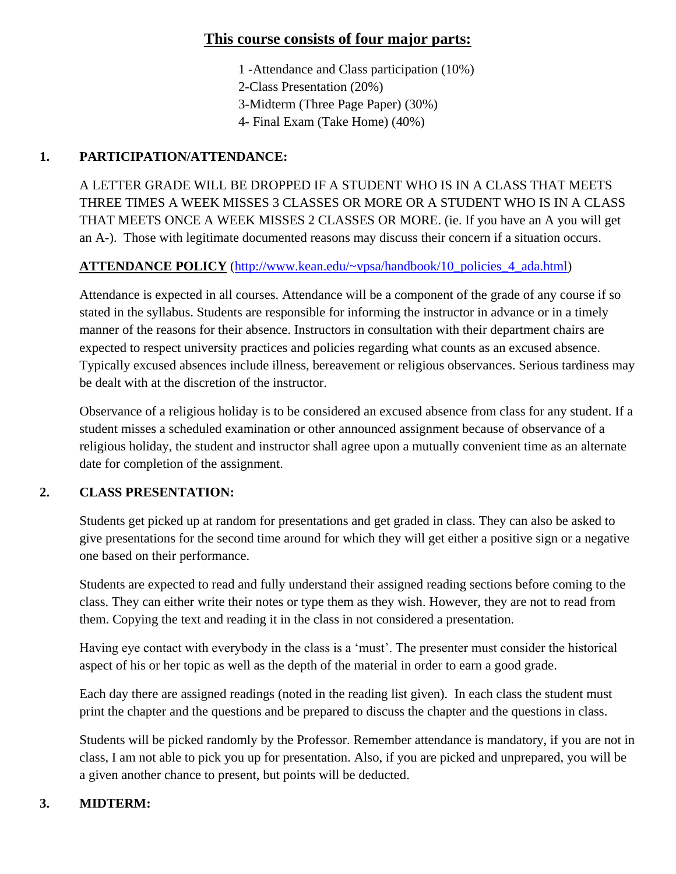## **This course consists of four major parts:**

- 1 -Attendance and Class participation (10%)
- 2-Class Presentation (20%)
- 3-Midterm (Three Page Paper) (30%)
- 4- Final Exam (Take Home) (40%)

## **1. PARTICIPATION/ATTENDANCE:**

A LETTER GRADE WILL BE DROPPED IF A STUDENT WHO IS IN A CLASS THAT MEETS THREE TIMES A WEEK MISSES 3 CLASSES OR MORE OR A STUDENT WHO IS IN A CLASS THAT MEETS ONCE A WEEK MISSES 2 CLASSES OR MORE. (ie. If you have an A you will get an A-). Those with legitimate documented reasons may discuss their concern if a situation occurs.

### **ATTENDANCE POLICY** [\(http://www.kean.edu/~vpsa/handbook/10\\_policies\\_4\\_ada.html\)](http://www.kean.edu/~vpsa/handbook/10_policies_4_ada.html)

Attendance is expected in all courses. Attendance will be a component of the grade of any course if so stated in the syllabus. Students are responsible for informing the instructor in advance or in a timely manner of the reasons for their absence. Instructors in consultation with their department chairs are expected to respect university practices and policies regarding what counts as an excused absence. Typically excused absences include illness, bereavement or religious observances. Serious tardiness may be dealt with at the discretion of the instructor.

Observance of a religious holiday is to be considered an excused absence from class for any student. If a student misses a scheduled examination or other announced assignment because of observance of a religious holiday, the student and instructor shall agree upon a mutually convenient time as an alternate date for completion of the assignment.

### **2. CLASS PRESENTATION:**

Students get picked up at random for presentations and get graded in class. They can also be asked to give presentations for the second time around for which they will get either a positive sign or a negative one based on their performance.

Students are expected to read and fully understand their assigned reading sections before coming to the class. They can either write their notes or type them as they wish. However, they are not to read from them. Copying the text and reading it in the class in not considered a presentation.

Having eye contact with everybody in the class is a 'must'. The presenter must consider the historical aspect of his or her topic as well as the depth of the material in order to earn a good grade.

Each day there are assigned readings (noted in the reading list given). In each class the student must print the chapter and the questions and be prepared to discuss the chapter and the questions in class.

Students will be picked randomly by the Professor. Remember attendance is mandatory, if you are not in class, I am not able to pick you up for presentation. Also, if you are picked and unprepared, you will be a given another chance to present, but points will be deducted.

### **3. MIDTERM:**